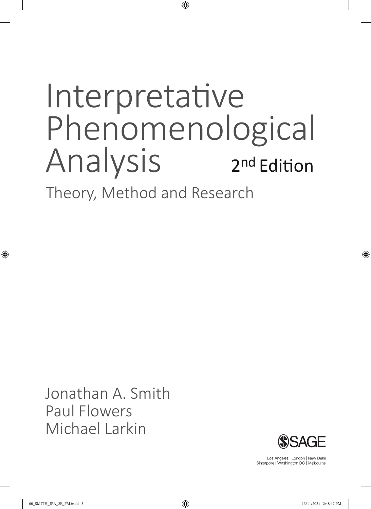# Interpretative Phenomenological Analysis 2nd Edition

Theory, Method and Research

Jonathan A. Smith Paul Flowers Michael Larkin



Los Angeles | London | New Delhi<br>Singapore | Washington DC | Melbourne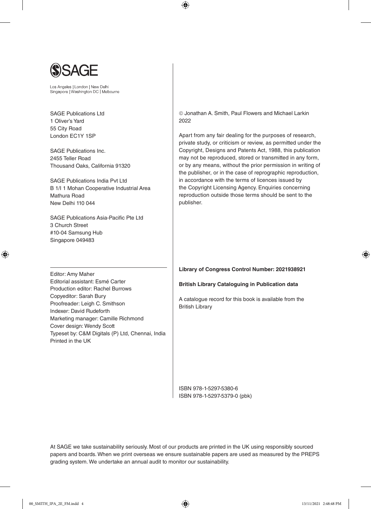

Los Angeles | London | New Delhi Singapore | Washington DC | Melbourne

SAGE Publications Ltd 1 Oliver's Yard 55 City Road London EC1Y 1SP

SAGE Publications Inc. 2455 Teller Road Thousand Oaks, California 91320

SAGE Publications India Pvt Ltd B 1/I 1 Mohan Cooperative Industrial Area Mathura Road New Delhi 110 044

SAGE Publications Asia-Pacific Pte Ltd 3 Church Street #10-04 Samsung Hub Singapore 049483

 Jonathan A. Smith, Paul Flowers and Michael Larkin 2022

Apart from any fair dealing for the purposes of research, private study, or criticism or review, as permitted under the Copyright, Designs and Patents Act, 1988, this publication may not be reproduced, stored or transmitted in any form, or by any means, without the prior permission in writing of the publisher, or in the case of reprographic reproduction, in accordance with the terms of licences issued by the Copyright Licensing Agency. Enquiries concerning reproduction outside those terms should be sent to the publisher.

#### **Library of Congress Control Number: 2021938921**

**British Library Cataloguing in Publication data**

A catalogue record for this book is available from the British Library

Editor: Amy Maher Editorial assistant: Esmé Carter Production editor: Rachel Burrows Copyeditor: Sarah Bury Proofreader: Leigh C. Smithson Indexer: David Rudeforth Marketing manager: Camille Richmond Cover design: Wendy Scott Typeset by: C&M Digitals (P) Ltd, Chennai, India Printed in the UK

> ISBN 978-1-5297-5380-6 ISBN 978-1-5297-5379-0 (pbk)

At SAGE we take sustainability seriously. Most of our products are printed in the UK using responsibly sourced papers and boards. When we print overseas we ensure sustainable papers are used as measured by the PREPS grading system. We undertake an annual audit to monitor our sustainability.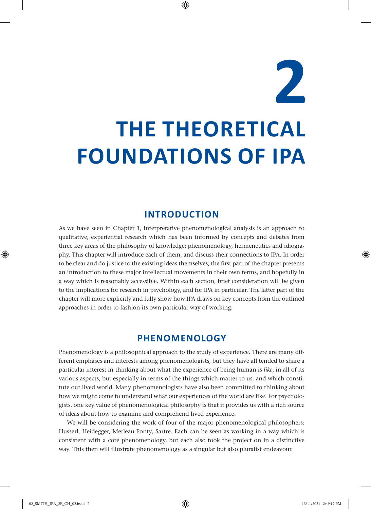# **2 THE THEORETICAL FOUNDATIONS OF IPA**

# **INTRODUCTION**

As we have seen in Chapter 1, interpretative phenomenological analysis is an approach to qualitative, experiential research which has been informed by concepts and debates from three key areas of the philosophy of knowledge: phenomenology, hermeneutics and idiography. This chapter will introduce each of them, and discuss their connections to IPA. In order to be clear and do justice to the existing ideas themselves, the first part of the chapter presents an introduction to these major intellectual movements in their own terms, and hopefully in a way which is reasonably accessible. Within each section, brief consideration will be given to the implications for research in psychology, and for IPA in particular. The latter part of the chapter will more explicitly and fully show how IPA draws on key concepts from the outlined approaches in order to fashion its own particular way of working.

# **PHENOMENOLOGY**

Phenomenology is a philosophical approach to the study of experience. There are many different emphases and interests among phenomenologists, but they have all tended to share a particular interest in thinking about what the experience of being human is *like*, in all of its various aspects, but especially in terms of the things which matter to us, and which constitute our lived world. Many phenomenologists have also been committed to thinking about how we might come to understand what our experiences of the world are like. For psychologists, one key value of phenomenological philosophy is that it provides us with a rich source of ideas about how to examine and comprehend lived experience.

We will be considering the work of four of the major phenomenological philosophers: Husserl, Heidegger, Merleau-Ponty, Sartre. Each can be seen as working in a way which is consistent with a core phenomenology, but each also took the project on in a distinctive way. This then will illustrate phenomenology as a singular but also pluralist endeavour.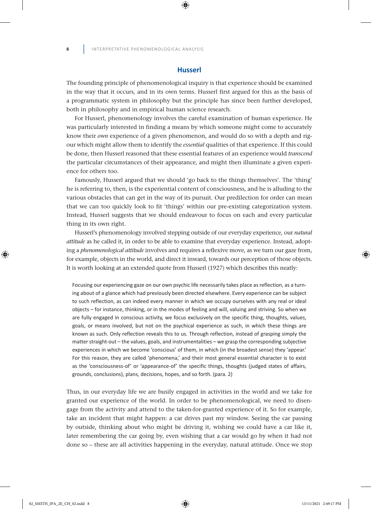#### **Husserl**

The founding principle of phenomenological inquiry is that experience should be examined in the way that it occurs, and in its own terms. Husserl first argued for this as the basis of a programmatic system in philosophy but the principle has since been further developed, both in philosophy and in empirical human science research.

For Husserl, phenomenology involves the careful examination of human experience. He was particularly interested in finding a means by which someone might come to accurately know their *own* experience of a given phenomenon, and would do so with a depth and rigour which might allow them to identify the *essential* qualities of that experience. If this could be done, then Husserl reasoned that these essential features of an experience would *transcend* the particular circumstances of their appearance, and might then illuminate a given experience for others too.

Famously, Husserl argued that we should 'go back to the things themselves'. The 'thing' he is referring to, then, is the experiential content of consciousness, and he is alluding to the various obstacles that can get in the way of its pursuit. Our predilection for order can mean that we can too quickly look to fit 'things' within our pre-existing categorization system. Instead, Husserl suggests that we should endeavour to focus on each and every particular thing in its own right.

Husserl's phenomenology involved stepping outside of our everyday experience, our *natural attitude* as he called it, in order to be able to examine that everyday experience. Instead, adopting a *phenomenological attitude* involves and requires a reflexive move, as we turn our gaze from, for example, objects in the world, and direct it inward, towards our perception of those objects. It is worth looking at an extended quote from Husserl (1927) which describes this neatly:

Focusing our experiencing gaze on our own psychic life necessarily takes place as reflection, as a turning about of a glance which had previously been directed elsewhere. Every experience can be subject to such reflection, as can indeed every manner in which we occupy ourselves with any real or ideal objects – for instance, thinking, or in the modes of feeling and will, valuing and striving. So when we are fully engaged in conscious activity, we focus exclusively on the specific thing, thoughts, values, goals, or means involved, but not on the psychical experience as such, in which these things are known as such. Only reflection reveals this to us. Through reflection, instead of grasping simply the matter straight-out – the values, goals, and instrumentalities – we grasp the corresponding subjective experiences in which we become 'conscious' of them, in which (in the broadest sense) they 'appear.' For this reason, they are called 'phenomena,' and their most general essential character is to exist as the 'consciousness-of' or 'appearance-of' the specific things, thoughts (judged states of affairs, grounds, conclusions), plans, decisions, hopes, and so forth. (para. 2)

Thus, in our everyday life we are busily engaged in activities in the world and we take for granted our experience of the world. In order to be phenomenological, we need to disengage from the activity and attend to the taken-for-granted experience of it. So for example, take an incident that might happen: a car drives past my window. Seeing the car passing by outside, thinking about who might be driving it, wishing we could have a car like it, later remembering the car going by, even wishing that a car would go by when it had not done so – these are all activities happening in the everyday, natural attitude. Once we stop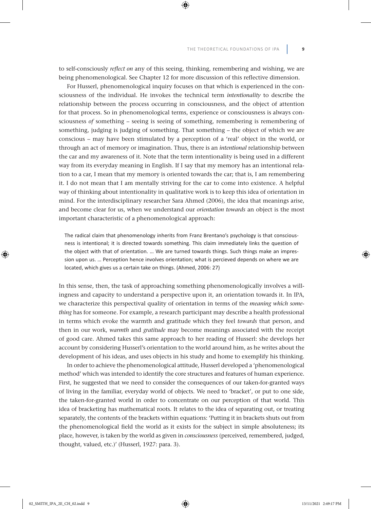to self-consciously *reflect on* any of this seeing, thinking, remembering and wishing, we are being phenomenological. See Chapter 12 for more discussion of this reflective dimension.

For Husserl, phenomenological inquiry focuses on that which is experienced in the consciousness of the individual. He invokes the technical term *intentionality* to describe the relationship between the process occurring in consciousness, and the object of attention for that process. So in phenomenological terms, experience or consciousness is always consciousness *of* something – seeing is seeing of something, remembering is remembering of something, judging is judging of something. That something – the object of which we are conscious – may have been stimulated by a perception of a 'real' object in the world, or through an act of memory or imagination. Thus, there is an *intentional* relationship between the car and my awareness of it. Note that the term intentionality is being used in a different way from its everyday meaning in English. If I say that my memory has an intentional relation to a car, I mean that my memory is oriented towards the car; that is, I am remembering it. I do not mean that I am mentally striving for the car to come into existence. A helpful way of thinking about intentionality in qualitative work is to keep this idea of orientation in mind. For the interdisciplinary researcher Sara Ahmed (2006), the idea that meanings arise, and become clear for us, when we understand our *orientation towards* an object is the most important characteristic of a phenomenological approach:

The radical claim that phenomenology inherits from Franz Brentano's psychology is that consciousness is intentional; it is directed towards something. This claim immediately links the question of the object with that of orientation. … We are turned towards things. Such things make an impression upon us. … Perception hence involves orientation; what is percieved depends on where we are located, which gives us a certain take on things. (Ahmed, 2006: 27)

In this sense, then, the task of approaching something phenomenologically involves a willingness and capacity to understand a perspective upon it, an orientation towards it. In IPA, we characterize this perspectival quality of orientation in terms of the *meaning which something* has for someone. For example, a research participant may describe a health professional in terms which evoke the warmth and gratitude which they feel *towards* that person, and then in our work, *warmth* and *gratitude* may become meanings associated with the receipt of good care. Ahmed takes this same approach to her reading of Husserl: she develops her account by considering Husserl's orientation to the world around him, as he writes about the development of his ideas, and uses objects in his study and home to exemplify his thinking.

In order to achieve the phenomenological attitude, Husserl developed a 'phenomenological method' which was intended to identify the core structures and features of human experience. First, he suggested that we need to consider the consequences of our taken-for-granted ways of living in the familiar, everyday world of objects. We need to 'bracket', or put to one side, the taken-for-granted world in order to concentrate on our perception of that world. This idea of bracketing has mathematical roots. It relates to the idea of separating out, or treating separately, the contents of the brackets within equations: 'Putting it in brackets shuts out from the phenomenological field the world as it exists for the subject in simple absoluteness; its place, however, is taken by the world as given in *consciousness* (perceived, remembered, judged, thought, valued, etc.)' (Husserl, 1927: para. 3).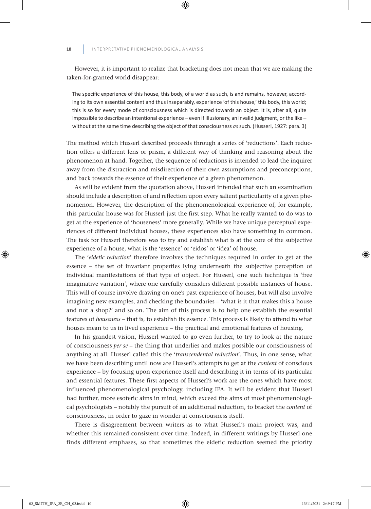However, it is important to realize that bracketing does not mean that we are making the taken-for-granted world disappear:

The specific experience of this house, this body, of a world as such, is and remains, however, according to its own essential content and thus inseparably, experience 'of this house,' this body, this world; this is so for every mode of consciousness which is directed towards an object. It is, after all, quite impossible to describe an intentional experience – even if illusionary, an invalid judgment, or the like – without at the same time describing the object of that consciousness *as* such. (Husserl, 1927: para. 3)

The method which Husserl described proceeds through a series of 'reductions'. Each reduction offers a different lens or prism, a different way of thinking and reasoning about the phenomenon at hand. Together, the sequence of reductions is intended to lead the inquirer away from the distraction and misdirection of their own assumptions and preconceptions, and back towards the essence of their experience of a given phenomenon.

As will be evident from the quotation above, Husserl intended that such an examination should include a description of and reflection upon every salient particularity of a given phenomenon. However, the description of the phenomenological experience of, for example, this particular house was for Husserl just the first step. What he really wanted to do was to get at the experience of 'houseness' more generally. While we have unique perceptual experiences of different individual houses, these experiences also have something in common. The task for Husserl therefore was to try and establish what is at the core of the subjective experience of a house, what is the 'essence' or 'eidos' or 'idea' of house.

The '*eidetic reduction*' therefore involves the techniques required in order to get at the essence – the set of invariant properties lying underneath the subjective perception of individual manifestations of that type of object. For Husserl, one such technique is 'free imaginative variation', where one carefully considers different possible instances of house. This will of course involve drawing on one's past experience of houses, but will also involve imagining new examples, and checking the boundaries – 'what is it that makes this a house and not a shop?' and so on. The aim of this process is to help one establish the essential features of *houseness* – that is, to establish its essence. This process is likely to attend to what houses mean to us in lived experience – the practical and emotional features of housing.

In his grandest vision, Husserl wanted to go even further, to try to look at the nature of consciousness *per se* – the thing that underlies and makes possible our consciousness of anything at all. Husserl called this the '*transcendental reduction*'. Thus, in one sense, what we have been describing until now are Husserl's attempts to get at the *content* of conscious experience – by focusing upon experience itself and describing it in terms of its particular and essential features. These first aspects of Husserl's work are the ones which have most influenced phenomenological psychology, including IPA. It will be evident that Husserl had further, more esoteric aims in mind, which exceed the aims of most phenomenological psychologists – notably the pursuit of an additional reduction, to bracket the *content* of consciousness, in order to gaze in wonder at consciousness itself.

There is disagreement between writers as to what Husserl's main project was, and whether this remained consistent over time. Indeed, in different writings by Husserl one finds different emphases, so that sometimes the eidetic reduction seemed the priority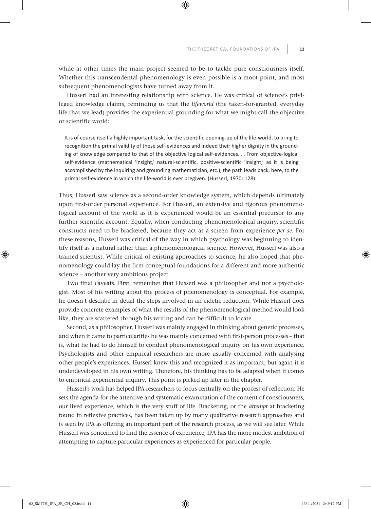while at other times the main project seemed to be to tackle pure consciousness itself. Whether this transcendental phenomenology is even possible is a moot point, and most

Husserl had an interesting relationship with science. He was critical of science's privileged knowledge claims, reminding us that the *lifeworld* (the taken-for-granted, everyday life that we lead) provides the experiential grounding for what we might call the objective or scientific world:

subsequent phenomenologists have turned away from it.

It is of course itself a highly important task, for the scientific opening-up of the life-world, to bring to recognition the primal validity of these self-evidences and indeed their higher dignity in the grounding of knowledge compared to that of the objective logical self-evidences. … From objective-logical self-evidence (mathematical 'insight,' natural-scientific, positive-scientific 'insight,' as it is being accomplished by the inquiring and grounding mathematician, etc.), the path leads back, here, to the primal self-evidence in which the life-world is ever pregiven. (Husserl, 1970: 128)

Thus, Husserl saw science as a second-order knowledge system, which depends ultimately upon first-order personal experience. For Husserl, an extensive and rigorous phenomenological account of the world as it is experienced would be an essential precursor to any further scientific account. Equally, when conducting phenomenological inquiry, scientific constructs need to be bracketed, because they act as a screen from experience *per se*. For these reasons, Husserl was critical of the way in which psychology was beginning to identify itself as a natural rather than a phenomenological science. However, Husserl was also a trained scientist. While critical of existing approaches to science, he also hoped that phenomenology could lay the firm conceptual foundations for a different and more authentic science – another very ambitious project.

Two final caveats. First, remember that Husserl was a philosopher and not a psychologist. Most of his writing about the process of phenomenology is conceptual. For example, he doesn't describe in detail the steps involved in an eidetic reduction. While Husserl does provide concrete examples of what the results of the phenomenological method would look like, they are scattered through his writing and can be difficult to locate.

Second, as a philosopher, Husserl was mainly engaged in thinking about generic processes, and when it came to particularities he was mainly concerned with first-person processes – that is, what he had to do himself to conduct phenomenological inquiry on his own experience. Psychologists and other empirical researchers are more usually concerned with analysing other people's experiences. Husserl knew this and recognized it as important, but again it is underdeveloped in his own writing. Therefore, his thinking has to be adapted when it comes to empirical experiential inquiry. This point is picked up later in the chapter.

Husserl's work has helped IPA researchers to focus centrally on the process of reflection. He sets the agenda for the attentive and systematic examination of the content of consciousness, our lived experience, which is the very stuff of life. Bracketing, or the *attempt* at bracketing found in reflexive practices, has been taken up by many qualitative research approaches and is seen by IPA as offering an important part of the research process, as we will see later. While Husserl was concerned to find the essence of experience, IPA has the more modest ambition of attempting to capture particular experiences as experienced for particular people.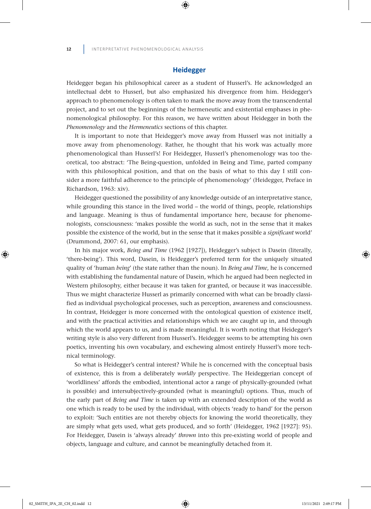#### **Heidegger**

Heidegger began his philosophical career as a student of Husserl's. He acknowledged an intellectual debt to Husserl, but also emphasized his divergence from him. Heidegger's approach to phenomenology is often taken to mark the move away from the transcendental project, and to set out the beginnings of the hermeneutic and existential emphases in phenomenological philosophy. For this reason, we have written about Heidegger in both the *Phenomenology* and the *Hermeneutics* sections of this chapter.

It is important to note that Heidegger's move away from Husserl was not initially a move away from phenomenology. Rather, he thought that his work was actually more phenomenological than Husserl's! For Heidegger, Husserl's phenomenology was too theoretical, too abstract: 'The Being-question, unfolded in Being and Time, parted company with this philosophical position, and that on the basis of what to this day I still consider a more faithful adherence to the principle of phenomenology' (Heidegger, Preface in Richardson, 1963: xiv).

Heidegger questioned the possibility of any knowledge outside of an interpretative stance, while grounding this stance in the lived world – the world of things, people, relationships and language. Meaning is thus of fundamental importance here, because for phenomenologists, consciousness: 'makes possible the world as such, not in the sense that it makes possible the existence of the world, but in the sense that it makes possible a *significant* world' (Drummond, 2007: 61, our emphasis).

In his major work, *Being and Time* (1962 [1927]), Heidegger's subject is Dasein (literally, 'there-being'). This word, Dasein, is Heidegger's preferred term for the uniquely situated quality of 'human *being*' (the state rather than the noun). In *Being and Time*, he is concerned with establishing the fundamental nature of Dasein, which he argued had been neglected in Western philosophy, either because it was taken for granted, or because it was inaccessible. Thus we might characterize Husserl as primarily concerned with what can be broadly classified as individual psychological processes, such as perception, awareness and consciousness. In contrast, Heidegger is more concerned with the ontological question of existence itself, and with the practical activities and relationships which we are caught up in, and through which the world appears to us, and is made meaningful. It is worth noting that Heidegger's writing style is also very different from Husserl's. Heidegger seems to be attempting his own poetics, inventing his own vocabulary, and eschewing almost entirely Husserl's more technical terminology.

So what is Heidegger's central interest? While he is concerned with the conceptual basis of existence, this is from a deliberately *worldly* perspective. The Heideggerian concept of 'worldliness' affords the embodied, intentional actor a range of physically-grounded (what is possible) and intersubjectively-grounded (what is meaningful) options. Thus, much of the early part of *Being and Time* is taken up with an extended description of the world as one which is ready to be used by the individual, with objects 'ready to hand' for the person to exploit: 'Such entities are not thereby objects for knowing the world theoretically, they are simply what gets used, what gets produced, and so forth' (Heidegger, 1962 [1927]: 95). For Heidegger, Dasein is 'always already' *thrown* into this pre-existing world of people and objects, language and culture, and cannot be meaningfully detached from it.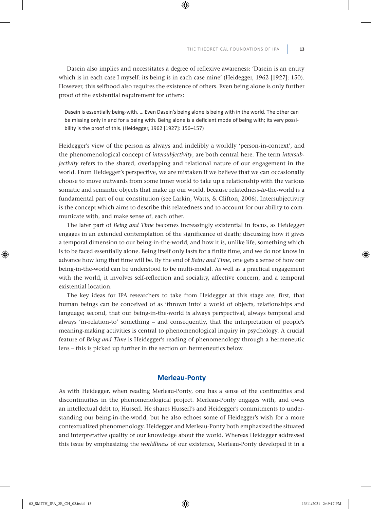Dasein also implies and necessitates a degree of reflexive awareness: 'Dasein is an entity which is in each case I myself: its being is in each case mine' (Heidegger, 1962 [1927]: 150). However, this selfhood also requires the existence of others. Even being alone is only further proof of the existential requirement for others:

Dasein is essentially being-with. … Even Dasein's being alone is being with in the world. The other can be missing only in and for a being with. Being alone is a deficient mode of being with; its very possibility is the proof of this. (Heidegger, 1962 [1927]: 156–157)

Heidegger's view of the person as always and indelibly a worldly 'person-in-context', and the phenomenological concept of *intersubjectivity*, are both central here. The term *intersubjectivity* refers to the shared, overlapping and relational nature of our engagement in the world. From Heidegger's perspective, we are mistaken if we believe that we can occasionally choose to move outwards from some inner world to take up a relationship with the various somatic and semantic objects that make up our world, because relatedness-*to*-the-world is a fundamental part of our constitution (see Larkin, Watts, & Clifton, 2006). Intersubjectivity is the concept which aims to describe this relatedness and to account for our ability to communicate with, and make sense of, each other.

The later part of *Being and Time* becomes increasingly existential in focus, as Heidegger engages in an extended contemplation of the significance of death; discussing how it gives a temporal dimension to our being-in-the-world, and how it is, unlike life, something which is to be faced essentially alone. Being itself only lasts for a finite time, and we do not know in advance how long that time will be. By the end of *Being and Time*, one gets a sense of how our being-in-the-world can be understood to be multi-modal. As well as a practical engagement with the world, it involves self-reflection and sociality, affective concern, and a temporal existential location.

The key ideas for IPA researchers to take from Heidegger at this stage are, first, that human beings can be conceived of as 'thrown into' a world of objects, relationships and language; second, that our being-in-the-world is always perspectival, always temporal and always 'in-relation-to' something – and consequently, that the interpretation of people's meaning-making activities is central to phenomenological inquiry in psychology. A crucial feature of *Being and Time* is Heidegger's reading of phenomenology through a hermeneutic lens – this is picked up further in the section on hermeneutics below.

#### **Merleau-Ponty**

As with Heidegger, when reading Merleau-Ponty, one has a sense of the continuities and discontinuities in the phenomenological project. Merleau-Ponty engages with, and owes an intellectual debt to, Husserl. He shares Husserl's and Heidegger's commitments to understanding our being-in-the-world, but he also echoes some of Heidegger's wish for a more contextualized phenomenology. Heidegger and Merleau-Ponty both emphasized the situated and interpretative quality of our knowledge about the world. Whereas Heidegger addressed this issue by emphasizing the *worldliness* of our existence, Merleau-Ponty developed it in a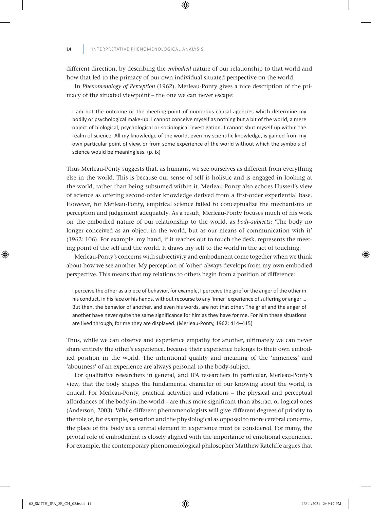different direction, by describing the *embodied* nature of our relationship to that world and how that led to the primacy of our own individual situated perspective on the world.

In *Phenomenology of Perception* (1962), Merleau-Ponty gives a nice description of the primacy of the situated viewpoint – the one we can never escape:

I am not the outcome or the meeting-point of numerous causal agencies which determine my bodily or psychological make-up. I cannot conceive myself as nothing but a bit of the world, a mere object of biological, psychological or sociological investigation. I cannot shut myself up within the realm of science. All my knowledge of the world, even my scientific knowledge, is gained from my own particular point of view, or from some experience of the world without which the symbols of science would be meaningless. (p. ix)

Thus Merleau-Ponty suggests that, as humans, we see ourselves as different from everything else in the world. This is because our sense of self is holistic and is engaged in looking at the world, rather than being subsumed within it. Merleau-Ponty also echoes Husserl's view of science as offering second-order knowledge derived from a first-order experiential base. However, for Merleau-Ponty, empirical science failed to conceptualize the mechanisms of perception and judgement adequately. As a result, Merleau-Ponty focuses much of his work on the embodied nature of our relationship to the world, as *body-subjects*: 'The body no longer conceived as an object in the world, but as our means of communication with it' (1962: 106). For example, my hand, if it reaches out to touch the desk, represents the meeting point of the self and the world. It draws my self to the world in the act of touching.

Merleau-Ponty's concerns with subjectivity and embodiment come together when we think about how we see another. My perception of 'other' always develops from my own embodied perspective. This means that my relations to others begin from a position of difference:

I perceive the other as a piece of behavior, for example, I perceive the grief or the anger of the other in his conduct, in his face or his hands, without recourse to any 'inner' experience of suffering or anger ... But then, the behavior of another, and even his words, are not that other. The grief and the anger of another have never quite the same significance for him as they have for me. For him these situations are lived through, for me they are displayed. (Merleau-Ponty, 1962: 414–415)

Thus, while we can observe and experience empathy for another, ultimately we can never share entirely the other's experience, because their experience belongs to their own embodied position in the world. The intentional quality and meaning of the 'mineness' and 'aboutness' of an experience are always personal to the body-subject.

For qualitative researchers in general, and IPA researchers in particular, Merleau-Ponty's view, that the body shapes the fundamental character of our knowing about the world, is critical. For Merleau-Ponty, practical activities and relations – the physical and perceptual affordances of the body-in-the-world – are thus more significant than abstract or logical ones (Anderson, 2003). While different phenomenologists will give different degrees of priority to the role of, for example, sensation and the physiological as opposed to more cerebral concerns, the place of the body as a central element in experience must be considered. For many, the pivotal role of embodiment is closely aligned with the importance of emotional experience. For example, the contemporary phenomenological philosopher Matthew Ratcliffe argues that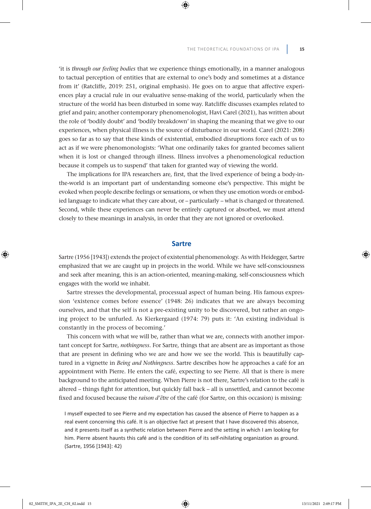'it is *through our feeling bodies* that we experience things emotionally, in a manner analogous to tactual perception of entities that are external to one's body and sometimes at a distance from it' (Ratcliffe, 2019: 251, original emphasis). He goes on to argue that affective experiences play a crucial rule in our evaluative sense-making of the world, particularly when the structure of the world has been disturbed in some way. Ratcliffe discusses examples related to grief and pain; another contemporary phenomenologist, Havi Carel (2021), has written about the role of 'bodily doubt' and 'bodily breakdown' in shaping the meaning that we give to our experiences, when physical illness is the source of disturbance in our world. Carel (2021: 208) goes so far as to say that these kinds of existential, embodied disruptions force each of us to act as if we were phenomonologists: 'What one ordinarily takes for granted becomes salient when it is lost or changed through illness. Illness involves a phenomenological reduction because it compels us to suspend' that taken for granted way of viewing the world.

The implications for IPA researchers are, first, that the lived experience of being a body-inthe-world is an important part of understanding someone else's perspective. This might be evoked when people describe feelings or sensations, or when they use emotion words or embodied language to indicate what they care about, or – particularly – what is changed or threatened. Second, while these experiences can never be entirely captured or absorbed, we must attend closely to these meanings in analysis, in order that they are not ignored or overlooked.

#### **Sartre**

Sartre (1956 [1943]) extends the project of existential phenomenology. As with Heidegger, Sartre emphasized that we are caught up in projects in the world. While we have self-consciousness and seek after meaning, this is an action-oriented, meaning-making, self-consciousness which engages with the world we inhabit.

Sartre stresses the developmental, processual aspect of human being. His famous expression 'existence comes before essence' (1948: 26) indicates that we are always becoming ourselves, and that the self is not a pre-existing unity to be discovered, but rather an ongoing project to be unfurled. As Kierkergaard (1974: 79) puts it: 'An existing individual is constantly in the process of becoming.'

This concern with what we will be, rather than what we are, connects with another important concept for Sartre, *nothingness*. For Sartre, things that are absent are as important as those that are present in defining who we are and how we see the world. This is beautifully captured in a vignette in *Being and Nothingness*. Sartre describes how he approaches a café for an appointment with Pierre. He enters the café, expecting to see Pierre. All that is there is mere background to the anticipated meeting. When Pierre is not there, Sartre's relation to the café is altered – things fight for attention, but quickly fall back – all is unsettled, and cannot become fixed and focused because the *raison d'être* of the café (for Sartre, on this occasion) is missing:

I myself expected to see Pierre and my expectation has caused the absence of Pierre to happen as a real event concerning this café. It is an objective fact at present that I have discovered this absence, and it presents itself as a synthetic relation between Pierre and the setting in which I am looking for him. Pierre absent haunts this café and is the condition of its self-nihilating organization as ground. (Sartre, 1956 [1943]: 42)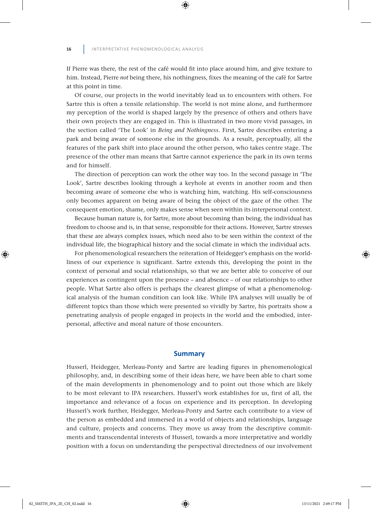If Pierre was there, the rest of the café would fit into place around him, and give texture to him. Instead, Pierre *not* being there, his nothingness, fixes the meaning of the café for Sartre at this point in time.

Of course, our projects in the world inevitably lead us to encounters with others. For Sartre this is often a tensile relationship. The world is not mine alone, and furthermore my perception of the world is shaped largely by the presence of others and others have their own projects they are engaged in. This is illustrated in two more vivid passages, in the section called 'The Look' in *Being and Nothingness*. First, Sartre describes entering a park and being aware of someone else in the grounds. As a result, perceptually, all the features of the park shift into place around the other person, who takes centre stage. The presence of the other man means that Sartre cannot experience the park in its own terms and for himself.

The direction of perception can work the other way too. In the second passage in 'The Look'*,* Sartre describes looking through a keyhole at events in another room and then becoming aware of someone else who is watching him, watching. His self-consciousness only becomes apparent on being aware of being the object of the gaze of the other. The consequent emotion, shame, only makes sense when seen within its interpersonal context.

Because human nature is, for Sartre, more about becoming than being, the individual has freedom to choose and is, in that sense, responsible for their actions. However, Sartre stresses that these are always complex issues, which need also to be seen within the context of the individual life, the biographical history and the social climate in which the individual acts.

For phenomenological researchers the reiteration of Heidegger's emphasis on the worldliness of our experience is significant. Sartre extends this, developing the point in the context of personal and social relationships, so that we are better able to conceive of our experiences as contingent upon the presence – and absence – of our relationships to other people. What Sartre also offers is perhaps the clearest glimpse of what a phenomenological analysis of the human condition can look like. While IPA analyses will usually be of different topics than those which were presented so vividly by Sartre, his portraits show a penetrating analysis of people engaged in projects in the world and the embodied, interpersonal, affective and moral nature of those encounters.

#### **Summary**

Husserl, Heidegger, Merleau-Ponty and Sartre are leading figures in phenomenological philosophy, and, in describing some of their ideas here, we have been able to chart some of the main developments in phenomenology and to point out those which are likely to be most relevant to IPA researchers. Husserl's work establishes for us, first of all, the importance and relevance of a focus on experience and its perception. In developing Husserl's work further, Heidegger, Merleau-Ponty and Sartre each contribute to a view of the person as embedded and immersed in a world of objects and relationships, language and culture, projects and concerns. They move us away from the descriptive commitments and transcendental interests of Husserl, towards a more interpretative and worldly position with a focus on understanding the perspectival directedness of our involvement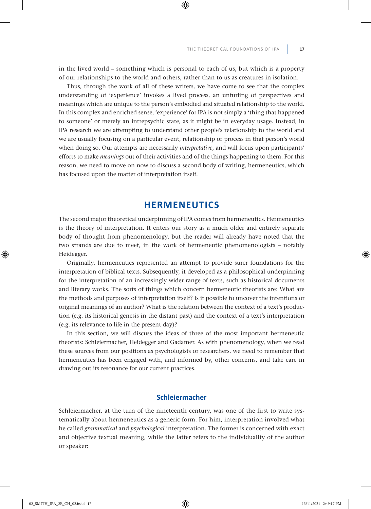in the lived world – something which is personal to each of us, but which is a property of our relationships to the world and others, rather than to us as creatures in isolation.

Thus, through the work of all of these writers, we have come to see that the complex understanding of 'experience' invokes a lived process, an unfurling of perspectives and meanings which are unique to the person's embodied and situated relationship to the world. In this complex and enriched sense, 'experience' for IPA is not simply a 'thing that happened to someone' or merely an intrepsychic state, as it might be in everyday usage. Instead, in IPA research we are attempting to understand other people's relationship to the world and we are usually focusing on a particular event, relationship or process in that person's world when doing so. Our attempts are necessarily *interpretative*, and will focus upon participants' efforts to make *meanings* out of their activities and of the things happening to them. For this reason, we need to move on now to discuss a second body of writing, hermeneutics, which has focused upon the matter of interpretation itself.

### **HERMENEUTICS**

The second major theoretical underpinning of IPA comes from hermeneutics. Hermeneutics is the theory of interpretation. It enters our story as a much older and entirely separate body of thought from phenomenology, but the reader will already have noted that the two strands are due to meet, in the work of hermeneutic phenomenologists – notably Heidegger.

Originally, hermeneutics represented an attempt to provide surer foundations for the interpretation of biblical texts. Subsequently, it developed as a philosophical underpinning for the interpretation of an increasingly wider range of texts, such as historical documents and literary works. The sorts of things which concern hermeneutic theorists are: What are the methods and purposes of interpretation itself? Is it possible to uncover the intentions or original meanings of an author? What is the relation between the context of a text's production (e.g. its historical genesis in the distant past) and the context of a text's interpretation (e.g. its relevance to life in the present day)?

In this section, we will discuss the ideas of three of the most important hermeneutic theorists: Schleiermacher, Heidegger and Gadamer. As with phenomenology, when we read these sources from our positions as psychologists or researchers, we need to remember that hermeneutics has been engaged with, and informed by, other concerns, and take care in drawing out its resonance for our current practices.

#### **Schleiermacher**

Schleiermacher, at the turn of the nineteenth century, was one of the first to write systematically about hermeneutics as a generic form. For him, interpretation involved what he called *grammatical* and *psychological* interpretation. The former is concerned with exact and objective textual meaning, while the latter refers to the individuality of the author or speaker: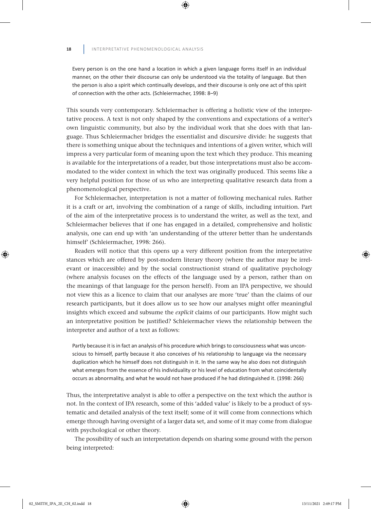Every person is on the one hand a location in which a given language forms itself in an individual manner, on the other their discourse can only be understood via the totality of language. But then the person is also a spirit which continually develops, and their discourse is only one act of this spirit of connection with the other acts. (Schleiermacher, 1998: 8–9)

This sounds very contemporary. Schleiermacher is offering a holistic view of the interpretative process. A text is not only shaped by the conventions and expectations of a writer's own linguistic community, but also by the individual work that she does with that language. Thus Schleiermacher bridges the essentialist and discursive divide: he suggests that there is something unique about the techniques and intentions of a given writer, which will impress a very particular form of meaning upon the text which they produce. This meaning is available for the interpretations of a reader, but those interpretations must also be accommodated to the wider context in which the text was originally produced. This seems like a very helpful position for those of us who are interpreting qualitative research data from a phenomenological perspective.

For Schleiermacher, interpretation is not a matter of following mechanical rules. Rather it is a craft or art, involving the combination of a range of skills, including intuition. Part of the aim of the interpretative process is to understand the writer, as well as the text, and Schleiermacher believes that if one has engaged in a detailed, comprehensive and holistic analysis, one can end up with 'an understanding of the utterer better than he understands himself' (Schleiermacher, 1998: 266).

Readers will notice that this opens up a very different position from the interpretative stances which are offered by post-modern literary theory (where the author may be irrelevant or inaccessible) and by the social constructionist strand of qualitative psychology (where analysis focuses on the effects of the language used by a person, rather than on the meanings of that language for the person herself). From an IPA perspective, we should not view this as a licence to claim that our analyses are more 'true' than the claims of our research participants, but it does allow us to see how our analyses might offer meaningful insights which exceed and subsume the *explicit* claims of our participants. How might such an interpretative position be justified? Schleiermacher views the relationship between the interpreter and author of a text as follows:

Partly because it is in fact an analysis of his procedure which brings to consciousness what was unconscious to himself, partly because it also conceives of his relationship to language via the necessary duplication which he himself does not distinguish in it. In the same way he also does not distinguish what emerges from the essence of his individuality or his level of education from what coincidentally occurs as abnormality, and what he would not have produced if he had distinguished it. (1998: 266)

Thus, the interpretative analyst is able to offer a perspective on the text which the author is not. In the context of IPA research, some of this 'added value' is likely to be a product of systematic and detailed analysis of the text itself; some of it will come from connections which emerge through having oversight of a larger data set, and some of it may come from dialogue with psychological or other theory.

The possibility of such an interpretation depends on sharing some ground with the person being interpreted: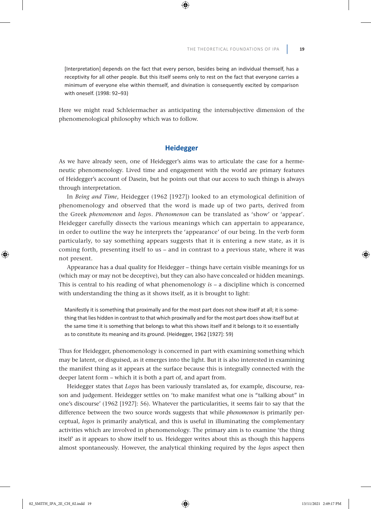[Interpretation] depends on the fact that every person, besides being an individual themself, has a receptivity for all other people. But this itself seems only to rest on the fact that everyone carries a minimum of everyone else within themself, and divination is consequently excited by comparison with oneself. (1998: 92–93)

Here we might read Schleiermacher as anticipating the intersubjective dimension of the phenomenological philosophy which was to follow.

#### **Heidegger**

As we have already seen, one of Heidegger's aims was to articulate the case for a hermeneutic phenomenology. Lived time and engagement with the world are primary features of Heidegger's account of Dasein, but he points out that our access to such things is always through interpretation.

In *Being and Time*, Heidegger (1962 [1927]) looked to an etymological definition of phenomenology and observed that the word is made up of two parts, derived from the Greek *phenomenon* and *logos*. *Phenomenon* can be translated as 'show' or 'appear'. Heidegger carefully dissects the various meanings which can appertain to appearance, in order to outline the way he interprets the 'appearance' of our being. In the verb form particularly, to say something appears suggests that it is entering a new state, as it is coming forth, presenting itself to us – and in contrast to a previous state, where it was not present.

Appearance has a dual quality for Heidegger – things have certain visible meanings for us (which may or may not be deceptive), but they can also have concealed or hidden meanings. This is central to his reading of what phenomenology *is* – a discipline which is concerned with understanding the thing as it shows itself, as it is brought to light:

Manifestly it is something that proximally and for the most part does not show itself at all; it is something that lies hidden in contrast to that which proximally and for the most part does show itself but at the same time it is something that belongs to what this shows itself and it belongs to it so essentially as to constitute its meaning and its ground. (Heidegger, 1962 [1927]: 59)

Thus for Heidegger, phenomenology is concerned in part with examining something which may be latent, or disguised, as it emerges into the light. But it is also interested in examining the manifest thing as it appears at the surface because this is integrally connected with the deeper latent form – which it is both a part of, and apart from.

Heidegger states that *Logos* has been variously translated as, for example, discourse, reason and judgement. Heidegger settles on 'to make manifest what one is "talking about" in one's discourse' (1962 [1927]: 56). Whatever the particularities, it seems fair to say that the difference between the two source words suggests that while *phenomenon* is primarily perceptual, *logos* is primarily analytical, and this is useful in illuminating the complementary activities which are involved in phenomenology. The primary aim is to examine 'the thing itself' as it appears to show itself to us. Heidegger writes about this as though this happens almost spontaneously. However, the analytical thinking required by the *logos* aspect then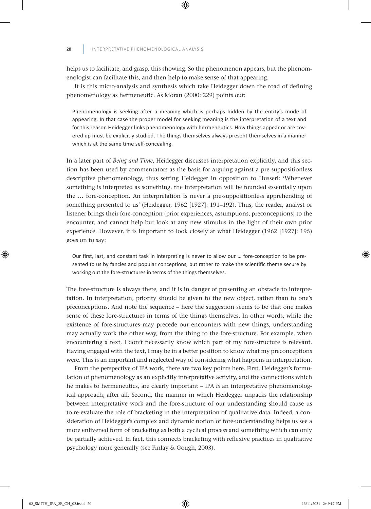helps us to facilitate, and grasp, this showing. So the phenomenon appears, but the phenomenologist can facilitate this, and then help to make sense of that appearing.

It is this micro-analysis and synthesis which take Heidegger down the road of defining phenomenology as hermeneutic. As Moran (2000: 229) points out:

Phenomenology is seeking after a meaning which is perhaps hidden by the entity's mode of appearing. In that case the proper model for seeking meaning is the interpretation of a text and for this reason Heidegger links phenomenology with hermeneutics. How things appear or are covered up must be explicitly studied. The things themselves always present themselves in a manner which is at the same time self-concealing.

In a later part of *Being and Time*, Heidegger discusses interpretation explicitly, and this section has been used by commentators as the basis for arguing against a pre-suppositionless descriptive phenomenology, thus setting Heidegger in opposition to Husserl: 'Whenever something is interpreted as something, the interpretation will be founded essentially upon the … fore-conception. An interpretation is never a pre-suppositionless apprehending of something presented to us' (Heidegger, 1962 [1927]: 191–192). Thus, the reader, analyst or listener brings their fore-conception (prior experiences, assumptions, preconceptions) to the encounter, and cannot help but look at any new stimulus in the light of their own prior experience. However, it is important to look closely at what Heidegger (1962 [1927]: 195) goes on to say:

Our first, last, and constant task in interpreting is never to allow our … fore-conception to be presented to us by fancies and popular conceptions, but rather to make the scientific theme secure by working out the fore-structures in terms of the things themselves.

The fore-structure is always there, and it is in danger of presenting an obstacle to interpretation. In interpretation, priority should be given to the new object, rather than to one's preconceptions. And note the sequence – here the suggestion seems to be that one makes sense of these fore-structures in terms of the things themselves. In other words, while the existence of fore-structures may precede our encounters with new things, understanding may actually work the other way, from the thing to the fore-structure. For example, when encountering a text, I don't necessarily know which part of my fore-structure is relevant. Having engaged with the text, I may be in a better position to know what my preconceptions were. This is an important and neglected way of considering what happens in interpretation.

From the perspective of IPA work, there are two key points here. First, Heidegger's formulation of phenomenology as an explicitly interpretative activity, and the connections which he makes to hermeneutics, are clearly important – IPA *is* an interpretative phenomenological approach, after all. Second, the manner in which Heidegger unpacks the relationship between interpretative work and the fore-structure of our understanding should cause us to re-evaluate the role of bracketing in the interpretation of qualitative data. Indeed, a consideration of Heidegger's complex and dynamic notion of fore-understanding helps us see a more enlivened form of bracketing as both a cyclical process and something which can only be partially achieved. In fact, this connects bracketing with reflexive practices in qualitative psychology more generally (see Finlay & Gough, 2003).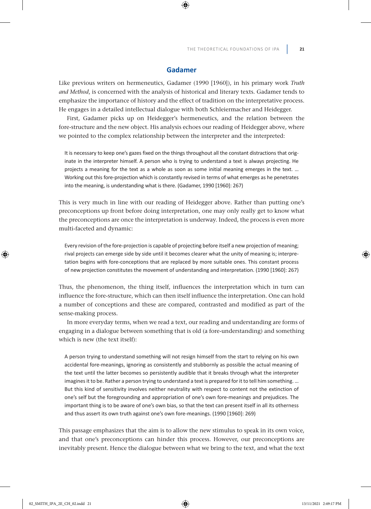#### **Gadamer**

Like previous writers on hermeneutics, Gadamer (1990 [1960]), in his primary work *Truth and Method*, is concerned with the analysis of historical and literary texts. Gadamer tends to emphasize the importance of history and the effect of tradition on the interpretative process. He engages in a detailed intellectual dialogue with both Schleiermacher and Heidegger.

First, Gadamer picks up on Heidegger's hermeneutics, and the relation between the fore-structure and the new object. His analysis echoes our reading of Heidegger above, where we pointed to the complex relationship between the interpreter and the interpreted:

It is necessary to keep one's gazes fixed on the things throughout all the constant distractions that originate in the interpreter himself. A person who is trying to understand a text is always projecting. He projects a meaning for the text as a whole as soon as some initial meaning emerges in the text. … Working out this fore-projection which is constantly revised in terms of what emerges as he penetrates into the meaning, is understanding what is there. (Gadamer, 1990 [1960]: 267)

This is very much in line with our reading of Heidegger above. Rather than putting one's preconceptions up front before doing interpretation, one may only really get to know what the preconceptions are once the interpretation is underway. Indeed, the process is even more multi-faceted and dynamic:

Every revision of the fore-projection is capable of projecting before itself a new projection of meaning; rival projects can emerge side by side until it becomes clearer what the unity of meaning is; interpretation begins with fore-conceptions that are replaced by more suitable ones. This constant process of new projection constitutes the movement of understanding and interpretation. (1990 [1960]: 267)

Thus, the phenomenon, the thing itself, influences the interpretation which in turn can influence the fore-structure, which can then itself influence the interpretation. One can hold a number of conceptions and these are compared, contrasted and modified as part of the sense-making process.

In more everyday terms, when we read a text, our reading and understanding are forms of engaging in a dialogue between something that is old (a fore-understanding) and something which is new (the text itself):

A person trying to understand something will not resign himself from the start to relying on his own accidental fore-meanings, ignoring as consistently and stubbornly as possible the actual meaning of the text until the latter becomes so persistently audible that it breaks through what the interpreter imagines it to be. Rather a person trying to understand a text is prepared for it to tell him something. … But this kind of sensitivity involves neither neutrality with respect to content not the extinction of one's self but the foregrounding and appropriation of one's own fore-meanings and prejudices. The important thing is to be aware of one's own bias, so that the text can present itself in all its otherness and thus assert its own truth against one's own fore-meanings. (1990 [1960]: 269)

This passage emphasizes that the aim is to allow the new stimulus to speak in its own voice, and that one's preconceptions can hinder this process. However, our preconceptions are inevitably present. Hence the dialogue between what we bring to the text, and what the text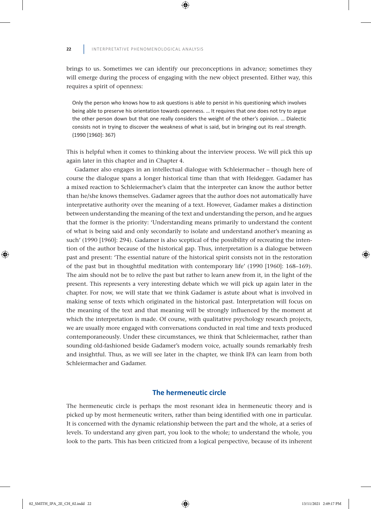brings to us. Sometimes we can identify our preconceptions in advance; sometimes they will emerge during the process of engaging with the new object presented. Either way, this requires a spirit of openness:

Only the person who knows how to ask questions is able to persist in his questioning which involves being able to preserve his orientation towards openness. … It requires that one does not try to argue the other person down but that one really considers the weight of the other's opinion. … Dialectic consists not in trying to discover the weakness of what is said, but in bringing out its real strength. (1990 [1960]: 367)

This is helpful when it comes to thinking about the interview process. We will pick this up again later in this chapter and in Chapter 4.

Gadamer also engages in an intellectual dialogue with Schleiermacher – though here of course the dialogue spans a longer historical time than that with Heidegger. Gadamer has a mixed reaction to Schleiermacher's claim that the interpreter can know the author better than he/she knows themselves. Gadamer agrees that the author does not automatically have interpretative authority over the meaning of a text. However, Gadamer makes a distinction between understanding the meaning of the text and understanding the person, and he argues that the former is the priority: 'Understanding means primarily to understand the content of what is being said and only secondarily to isolate and understand another's meaning as such' (1990 [1960]: 294). Gadamer is also sceptical of the possibility of recreating the intention of the author because of the historical gap. Thus, interpretation is a dialogue between past and present: 'The essential nature of the historical spirit consists not in the restoration of the past but in thoughtful meditation with contemporary life' (1990 [1960]: 168–169). The aim should not be to relive the past but rather to learn anew from it, in the light of the present. This represents a very interesting debate which we will pick up again later in the chapter. For now, we will state that we think Gadamer is astute about what is involved in making sense of texts which originated in the historical past. Interpretation will focus on the meaning of the text and that meaning will be strongly influenced by the moment at which the interpretation is made. Of course, with qualitative psychology research projects, we are usually more engaged with conversations conducted in real time and texts produced contemporaneously. Under these circumstances, we think that Schleiermacher, rather than sounding old-fashioned beside Gadamer's modern voice, actually sounds remarkably fresh and insightful. Thus, as we will see later in the chapter, we think IPA can learn from both Schleiermacher and Gadamer.

#### **The hermeneutic circle**

The hermeneutic circle is perhaps the most resonant idea in hermeneutic theory and is picked up by most hermeneutic writers, rather than being identified with one in particular. It is concerned with the dynamic relationship between the part and the whole, at a series of levels. To understand any given part, you look to the whole; to understand the whole, you look to the parts. This has been criticized from a logical perspective, because of its inherent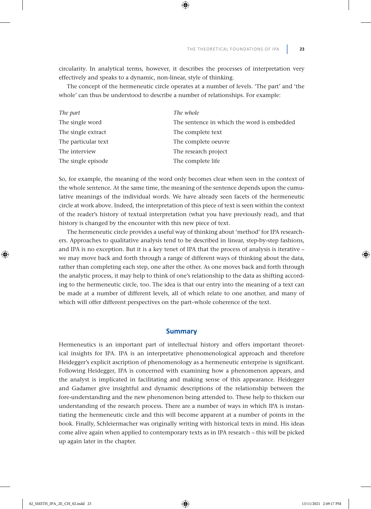circularity. In analytical terms, however, it describes the processes of interpretation very effectively and speaks to a dynamic, non-linear, style of thinking.

The concept of the hermeneutic circle operates at a number of levels. 'The part' and 'the whole' can thus be understood to describe a number of relationships. For example:

| The part            | The whole                                  |
|---------------------|--------------------------------------------|
| The single word     | The sentence in which the word is embedded |
| The single extract  | The complete text                          |
| The particular text | The complete oeuvre                        |
| The interview       | The research project                       |
| The single episode  | The complete life                          |

So, for example, the meaning of the word only becomes clear when seen in the context of the whole sentence. At the same time, the meaning of the sentence depends upon the cumulative meanings of the individual words. We have already seen facets of the hermeneutic circle at work above. Indeed, the interpretation of this piece of text is seen within the context of the reader's history of textual interpretation (what you have previously read), and that history is changed by the encounter with this new piece of text.

The hermeneutic circle provides a useful way of thinking about 'method' for IPA researchers. Approaches to qualitative analysis tend to be described in linear, step-by-step fashions, and IPA is no exception. But it is a key tenet of IPA that the process of analysis is iterative – we may move back and forth through a range of different ways of thinking about the data, rather than completing each step, one after the other. As one moves back and forth through the analytic process, it may help to think of one's relationship to the data as shifting according to the hermeneutic circle, too. The idea is that our entry into the meaning of a text can be made at a number of different levels, all of which relate to one another, and many of which will offer different perspectives on the part–whole coherence of the text.

#### **Summary**

Hermeneutics is an important part of intellectual history and offers important theoretical insights for IPA. IPA is an interpretative phenomenological approach and therefore Heidegger's explicit ascription of phenomenology as a hermeneutic enterprise is significant. Following Heidegger, IPA is concerned with examining how a phenomenon appears, and the analyst is implicated in facilitating and making sense of this appearance. Heidegger and Gadamer give insightful and dynamic descriptions of the relationship between the fore-understanding and the new phenomenon being attended to. These help to thicken our understanding of the research process. There are a number of ways in which IPA is instantiating the hermeneutic circle and this will become apparent at a number of points in the book. Finally, Schleiermacher was originally writing with historical texts in mind. His ideas come alive again when applied to contemporary texts as in IPA research – this will be picked up again later in the chapter.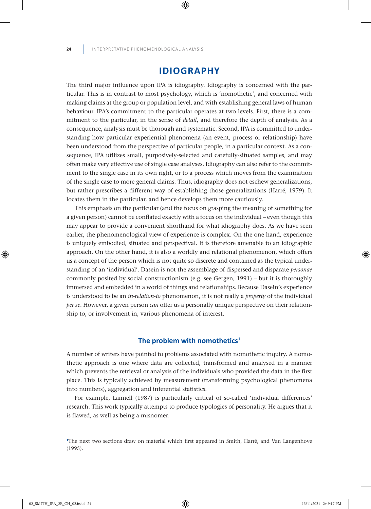# **IDIOGRAPHY**

The third major influence upon IPA is idiography. Idiography is concerned with the particular. This is in contrast to most psychology, which is 'nomothetic', and concerned with making claims at the group or population level, and with establishing general laws of human behaviour. IPA's commitment to the particular operates at two levels. First, there is a commitment to the particular, in the sense of *detail*, and therefore the depth of analysis. As a consequence, analysis must be thorough and systematic. Second, IPA is committed to understanding how particular experiential phenomena (an event, process or relationship) have been understood from the perspective of particular people, in a particular context. As a consequence, IPA utilizes small, purposively-selected and carefully-situated samples, and may often make very effective use of single case analyses. Idiography can also refer to the commitment to the single case in its own right, or to a process which moves from the examination of the single case to more general claims. Thus, idiography does not eschew generalizations, but rather prescribes a different way of establishing those generalizations (Harré, 1979). It locates them in the particular, and hence develops them more cautiously.

This emphasis on the particular (and the focus on grasping the meaning of something for a given person) cannot be conflated exactly with a focus on the individual – even though this may appear to provide a convenient shorthand for what idiography does. As we have seen earlier, the phenomenological view of experience is complex. On the one hand, experience is uniquely embodied, situated and perspectival. It is therefore amenable to an idiographic approach. On the other hand, it is also a worldly and relational phenomenon, which offers us a concept of the person which is not quite so discrete and contained as the typical understanding of an 'individual'. Dasein is not the assemblage of dispersed and disparate *personae* commonly posited by social constructionism (e.g. see Gergen, 1991) – but it is thoroughly immersed and embedded in a world of things and relationships. Because Dasein's experience is understood to be an *in-relation-to* phenomenon, it is not really a *property* of the individual *per se*. However, a given person *can* offer us a personally unique perspective on their relationship to, or involvement in, various phenomena of interest.

#### **The problem with nomothetics1**

A number of writers have pointed to problems associated with nomothetic inquiry. A nomothetic approach is one where data are collected, transformed and analysed in a manner which prevents the retrieval or analysis of the individuals who provided the data in the first place. This is typically achieved by measurement (transforming psychological phenomena into numbers), aggregation and inferential statistics.

For example, Lamiell (1987) is particularly critical of so-called 'individual differences' research. This work typically attempts to produce typologies of personality. He argues that it is flawed, as well as being a misnomer:

**<sup>1</sup>**The next two sections draw on material which first appeared in Smith, Harré, and Van Langenhove (1995).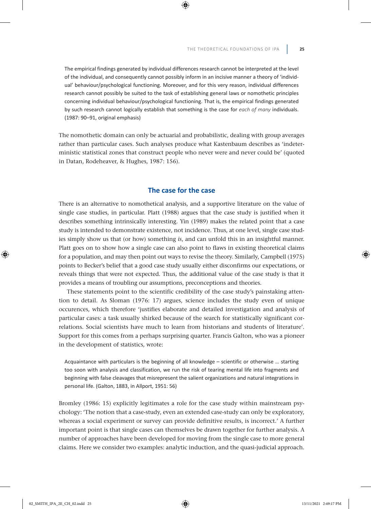The empirical findings generated by individual differences research cannot be interpreted at the level of the individual, and consequently cannot possibly inform in an incisive manner a theory of 'individual' behaviour/psychological functioning. Moreover, and for this very reason, individual differences research cannot possibly be suited to the task of establishing general laws or nomothetic principles concerning individual behaviour/psychological functioning. That is, the empirical findings generated by such research cannot logically establish that something is the case for *each of many* individuals. (1987: 90–91, original emphasis)

The nomothetic domain can only be actuarial and probabilistic, dealing with group averages rather than particular cases. Such analyses produce what Kastenbaum describes as 'indeterministic statistical zones that construct people who never were and never could be' (quoted in Datan, Rodeheaver, & Hughes, 1987: 156).

#### **The case for the case**

There is an alternative to nomothetical analysis, and a supportive literature on the value of single case studies, in particular. Platt (1988) argues that the case study is justified when it describes something intrinsically interesting. Yin (1989) makes the related point that a case study is intended to demonstrate existence, not incidence. Thus, at one level, single case studies simply show us that (or how) something *is*, and can unfold this in an insightful manner. Platt goes on to show how a single case can also point to flaws in existing theoretical claims for a population, and may then point out ways to revise the theory. Similarly, Campbell (1975) points to Becker's belief that a good case study usually either disconfirms our expectations, or reveals things that were not expected. Thus, the additional value of the case study is that it provides a means of troubling our assumptions, preconceptions and theories.

These statements point to the scientific credibility of the case study's painstaking attention to detail. As Sloman (1976: 17) argues, science includes the study even of unique occurences, which therefore 'justifies elaborate and detailed investigation and analysis of particular cases: a task usually shirked because of the search for statistically significant correlations. Social scientists have much to learn from historians and students of literature'. Support for this comes from a perhaps surprising quarter. Francis Galton, who was a pioneer in the development of statistics, wrote:

Acquaintance with particulars is the beginning of all knowledge – scientific or otherwise … starting too soon with analysis and classification, we run the risk of tearing mental life into fragments and beginning with false cleavages that misrepresent the salient organizations and natural integrations in personal life. (Galton, 1883, in Allport, 1951: 56)

Bromley (1986: 15) explicitly legitimates a role for the case study within mainstream psychology: 'The notion that a case-study, even an extended case-study can only be exploratory, whereas a social experiment or survey can provide definitive results, is incorrect.' A further important point is that single cases can themselves be drawn together for further analysis. A number of approaches have been developed for moving from the single case to more general claims. Here we consider two examples: analytic induction, and the quasi-judicial approach.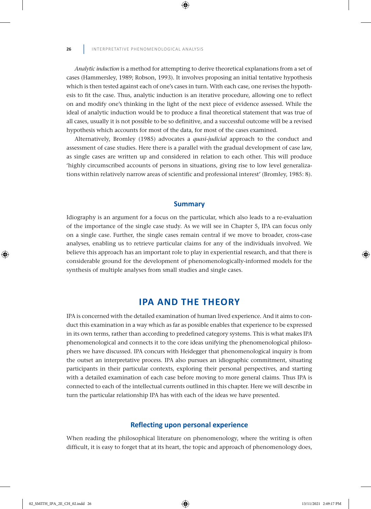*Analytic induction* is a method for attempting to derive theoretical explanations from a set of cases (Hammersley, 1989; Robson, 1993). It involves proposing an initial tentative hypothesis which is then tested against each of one's cases in turn. With each case, one revises the hypothesis to fit the case. Thus, analytic induction is an iterative procedure, allowing one to reflect on and modify one's thinking in the light of the next piece of evidence assessed. While the ideal of analytic induction would be to produce a final theoretical statement that was true of all cases, usually it is not possible to be so definitive, and a successful outcome will be a revised hypothesis which accounts for most of the data, for most of the cases examined.

Alternatively, Bromley (1985) advocates a *quasi-judicial* approach to the conduct and assessment of case studies. Here there is a parallel with the gradual development of case law, as single cases are written up and considered in relation to each other. This will produce 'highly circumscribed accounts of persons in situations, giving rise to low level generalizations within relatively narrow areas of scientific and professional interest' (Bromley, 1985: 8).

#### **Summary**

Idiography is an argument for a focus on the particular, which also leads to a re-evaluation of the importance of the single case study. As we will see in Chapter 5, IPA can focus only on a single case. Further, the single cases remain central if we move to broader, cross-case analyses, enabling us to retrieve particular claims for any of the individuals involved. We believe this approach has an important role to play in experiential research, and that there is considerable ground for the development of phenomenologically-informed models for the synthesis of multiple analyses from small studies and single cases.

# **IPA AND THE THEORY**

IPA is concerned with the detailed examination of human lived experience. And it aims to conduct this examination in a way which as far as possible enables that experience to be expressed in its own terms, rather than according to predefined category systems. This is what makes IPA phenomenological and connects it to the core ideas unifying the phenomenological philosophers we have discussed. IPA concurs with Heidegger that phenomenological inquiry is from the outset an interpretative process. IPA also pursues an idiographic commitment, situating participants in their particular contexts, exploring their personal perspectives, and starting with a detailed examination of each case before moving to more general claims. Thus IPA is connected to each of the intellectual currents outlined in this chapter. Here we will describe in turn the particular relationship IPA has with each of the ideas we have presented.

#### **Reflecting upon personal experience**

When reading the philosophical literature on phenomenology, where the writing is often difficult, it is easy to forget that at its heart, the topic and approach of phenomenology does,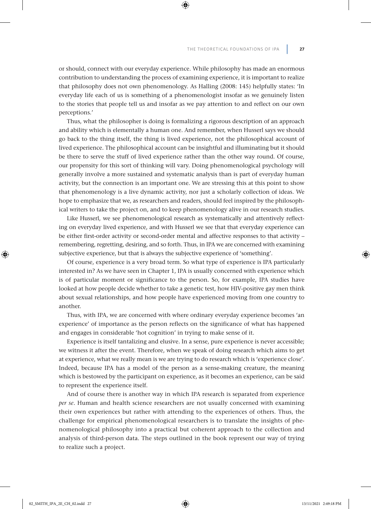or should, connect with our everyday experience. While philosophy has made an enormous contribution to understanding the process of examining experience, it is important to realize that philosophy does not own phenomenology. As Halling (2008: 145) helpfully states: 'In everyday life each of us is something of a phenomenologist insofar as we genuinely listen to the stories that people tell us and insofar as we pay attention to and reflect on our own perceptions.'

Thus, what the philosopher is doing is formalizing a rigorous description of an approach and ability which is elementally a human one. And remember, when Husserl says we should go back to the thing itself, the thing is lived experience, not the philosophical account of lived experience. The philosophical account can be insightful and illuminating but it should be there to serve the stuff of lived experience rather than the other way round. Of course, our propensity for this sort of thinking will vary. Doing phenomenological psychology will generally involve a more sustained and systematic analysis than is part of everyday human activity, but the connection is an important one. We are stressing this at this point to show that phenomenology is a live dynamic activity, nor just a scholarly collection of ideas. We hope to emphasize that we, as researchers and readers, should feel inspired by the philosophical writers to take the project on, and to keep phenomenology alive in our research studies.

Like Husserl, we see phenomenological research as systematically and attentively reflecting on everyday lived experience, and with Husserl we see that that everyday experience can be either first-order activity or second-order mental and affective responses to that activity – remembering, regretting, desiring, and so forth. Thus, in IPA we are concerned with examining subjective experience, but that is always the subjective experience of 'something'.

Of course, experience is a very broad term. So what type of experience is IPA particularly interested in? As we have seen in Chapter 1, IPA is usually concerned with experience which is of particular moment or significance to the person. So, for example, IPA studies have looked at how people decide whether to take a genetic test, how HIV-positive gay men think about sexual relationships, and how people have experienced moving from one country to another.

Thus, with IPA, we are concerned with where ordinary everyday experience becomes 'an experience' of importance as the person reflects on the significance of what has happened and engages in considerable 'hot cognition' in trying to make sense of it.

Experience is itself tantalizing and elusive. In a sense, pure experience is never accessible; we witness it after the event. Therefore, when we speak of doing research which aims to get at experience, what we really mean is we are trying to do research which is 'experience close'. Indeed, because IPA has a model of the person as a sense-making creature, the meaning which is bestowed by the participant on experience, as it becomes an experience, can be said to represent the experience itself.

And of course there is another way in which IPA research is separated from experience *per se*. Human and health science researchers are not usually concerned with examining their own experiences but rather with attending to the experiences of others. Thus, the challenge for empirical phenomenological researchers is to translate the insights of phenomenological philosophy into a practical but coherent approach to the collection and analysis of third-person data. The steps outlined in the book represent our way of trying to realize such a project.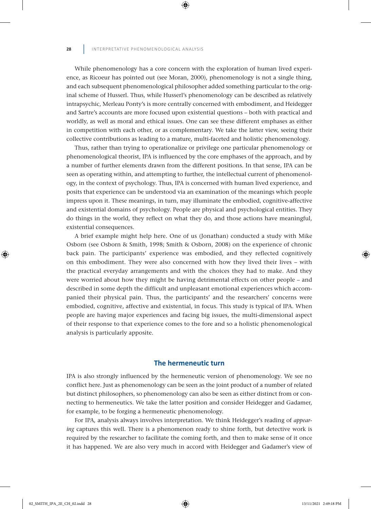While phenomenology has a core concern with the exploration of human lived experience, as Ricoeur has pointed out (see Moran, 2000), phenomenology is not a single thing, and each subsequent phenomenological philosopher added something particular to the original scheme of Husserl. Thus, while Husserl's phenomenology can be described as relatively intrapsychic, Merleau Ponty's is more centrally concerned with embodiment, and Heidegger and Sartre's accounts are more focused upon existential questions – both with practical and worldly, as well as moral and ethical issues. One can see these different emphases as either in competition with each other, or as complementary. We take the latter view, seeing their collective contributions as leading to a mature, multi-faceted and holistic phenomenology.

Thus, rather than trying to operationalize or privilege one particular phenomenology or phenomenological theorist, IPA is influenced by the core emphases of the approach, and by a number of further elements drawn from the different positions. In that sense, IPA can be seen as operating within, and attempting to further, the intellectual current of phenomenology, in the context of psychology. Thus, IPA is concerned with human lived experience, and posits that experience can be understood via an examination of the meanings which people impress upon it. These meanings, in turn, may illuminate the embodied, cognitive-affective and existential domains of psychology. People are physical and psychological entities. They do things in the world, they reflect on what they do, and those actions have meaningful, existential consequences.

A brief example might help here. One of us (Jonathan) conducted a study with Mike Osborn (see Osborn & Smith, 1998; Smith & Osborn, 2008) on the experience of chronic back pain. The participants' experience was embodied, and they reflected cognitively on this embodiment. They were also concerned with how they lived their lives – with the practical everyday arrangements and with the choices they had to make. And they were worried about how they might be having detrimental effects on other people – and described in some depth the difficult and unpleasant emotional experiences which accompanied their physical pain. Thus, the participants' and the researchers' concerns were embodied, cognitive, affective and existential, in focus. This study is typical of IPA. When people are having major experiences and facing big issues, the multi-dimensional aspect of their response to that experience comes to the fore and so a holistic phenomenological analysis is particularly apposite.

#### **The hermeneutic turn**

IPA is also strongly influenced by the hermeneutic version of phenomenology. We see no conflict here. Just as phenomenology can be seen as the joint product of a number of related but distinct philosophers, so phenomenology can also be seen as either distinct from or connecting to hermeneutics. We take the latter position and consider Heidegger and Gadamer, for example, to be forging a hermeneutic phenomenology.

For IPA, analysis always involves interpretation. We think Heidegger's reading of *appearing* captures this well. There is a phenomenon ready to shine forth, but detective work is required by the researcher to facilitate the coming forth, and then to make sense of it once it has happened. We are also very much in accord with Heidegger and Gadamer's view of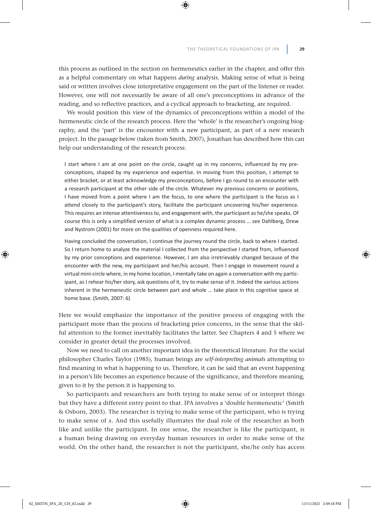this process as outlined in the section on hermeneutics earlier in the chapter, and offer this as a helpful commentary on what happens *during* analysis. Making sense of what is being said or written involves close interpretative engagement on the part of the listener or reader. However, one will not necessarily be aware of all one's preconceptions in advance of the reading, and so reflective practices, and a cyclical approach to bracketing, are required.

We would position this view of the dynamics of preconceptions within a model of the hermeneutic circle of the research process. Here the 'whole' is the researcher's ongoing biography, and the 'part' is the encounter with a new participant, as part of a new research project. In the passage below (taken from Smith, 2007), Jonathan has described how this can help our understanding of the research process:

I start where I am at one point on the circle, caught up in my concerns, influenced by my preconceptions, shaped by my experience and expertise. In moving from this position, I attempt to either bracket, or at least acknowledge my preconceptions, before I go round to an encounter with a research participant at the other side of the circle. Whatever my previous concerns or positions, I have moved from a point where I am the focus, to one where the participant is the focus as I attend closely to the participant's story, facilitate the participant uncovering his/her experience. This requires an intense attentiveness to, and engagement with, the participant as he/she speaks. Of course this is only a simplified version of what is a complex dynamic process … see Dahlberg, Drew and Nystrom (2001) for more on the qualities of openness required here.

Having concluded the conversation, I continue the journey round the circle, back to where I started. So I return home to analyze the material I collected from the perspective I started from, influenced by my prior conceptions and experience. However, I am also irretrievably changed because of the encounter with the new, my participant and her/his account. Then I engage in movement round a virtual mini-circle where, in my home location, I mentally take on again a conversation with my participant, as I rehear his/her story, ask questions of it, try to make sense of it. Indeed the various actions inherent in the hermeneutic circle between part and whole … take place in this cognitive space at home base. (Smith, 2007: 6)

Here we would emphasize the importance of the positive process of engaging with the participant more than the process of bracketing prior concerns, in the sense that the skilful attention to the former inevitably facilitates the latter. See Chapters 4 and 5 where we consider in greater detail the processes involved.

Now we need to call on another important idea in the theoretical literature. For the social philosopher Charles Taylor (1985), human beings are *self-interpreting animals* attempting to find meaning in what is happening to us. Therefore, it can be said that an event happening in a person's life becomes an experience because of the significance, and therefore meaning, given to it by the person it is happening to.

So participants and researchers are both trying to make sense of or interpret things but they have a different entry point to that. IPA involves a 'double hermeneutic' (Smith & Osborn, 2003). The researcher is trying to make sense of the participant, who is trying to make sense of *x*. And this usefully illustrates the dual role of the researcher as both like and unlike the participant. In one sense, the researcher is like the participant, is a human being drawing on everyday human resources in order to make sense of the world. On the other hand, the researcher is not the participant, she/he only has access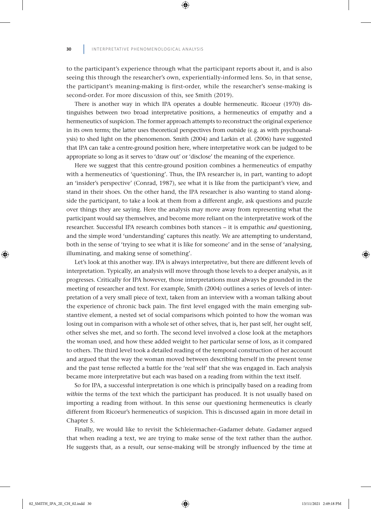to the participant's experience through what the participant reports about it, and is also seeing this through the researcher's own, experientially-informed lens. So, in that sense, the participant's meaning-making is first-order, while the researcher's sense-making is second-order. For more discussion of this, see Smith (2019).

There is another way in which IPA operates a double hermeneutic. Ricoeur (1970) distinguishes between two broad interpretative positions, a hermeneutics of empathy and a hermeneutics of suspicion. The former approach attempts to reconstruct the original experience in its own terms; the latter uses theoretical perspectives from outside (e.g. as with psychoanalysis) to shed light on the phenomenon. Smith (2004) and Larkin et al. (2006) have suggested that IPA can take a centre-ground position here, where interpretative work can be judged to be appropriate so long as it serves to 'draw out' or 'disclose' the meaning of the experience.

Here we suggest that this centre-ground position combines a hermeneutics of empathy with a hermeneutics of 'questioning'. Thus, the IPA researcher is, in part, wanting to adopt an 'insider's perspective' (Conrad, 1987), see what it is like from the participant's view, and stand in their shoes. On the other hand, the IPA researcher is also wanting to stand alongside the participant, to take a look at them from a different angle, ask questions and puzzle over things they are saying. Here the analysis may move away from representing what the participant would say themselves, and become more reliant on the interpretative work of the researcher. Successful IPA research combines both stances – it is empathic *and* questioning, and the simple word 'understanding' captures this neatly. We are attempting to understand, both in the sense of 'trying to see what it is like for someone' and in the sense of 'analysing, illuminating, and making sense of something'.

Let's look at this another way. IPA is always interpretative, but there are different levels of interpretation. Typically, an analysis will move through those levels to a deeper analysis, as it progresses. Critically for IPA however, those interpretations must always be grounded in the meeting of researcher and text. For example, Smith (2004) outlines a series of levels of interpretation of a very small piece of text, taken from an interview with a woman talking about the experience of chronic back pain. The first level engaged with the main emerging substantive element, a nested set of social comparisons which pointed to how the woman was losing out in comparison with a whole set of other selves, that is, her past self, her ought self, other selves she met, and so forth. The second level involved a close look at the metaphors the woman used, and how these added weight to her particular sense of loss, as it compared to others. The third level took a detailed reading of the temporal construction of her account and argued that the way the woman moved between describing herself in the present tense and the past tense reflected a battle for the 'real self' that she was engaged in. Each analysis became more interpretative but each was based on a reading from within the text itself.

So for IPA, a successful interpretation is one which is principally based on a reading from *within* the terms of the text which the participant has produced. It is not usually based on importing a reading from without. In this sense our questioning hermeneutics is clearly different from Ricoeur's hermeneutics of suspicion. This is discussed again in more detail in Chapter 5.

Finally, we would like to revisit the Schleiermacher–Gadamer debate. Gadamer argued that when reading a text, we are trying to make sense of the text rather than the author. He suggests that, as a result, our sense-making will be strongly influenced by the time at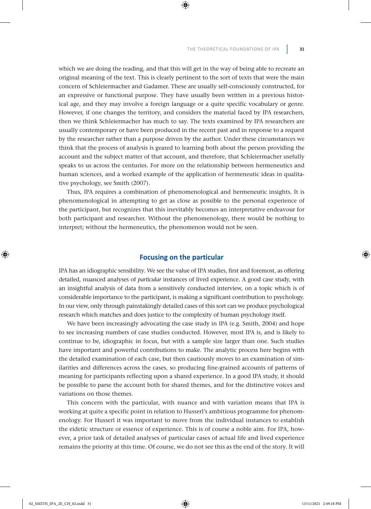which we are doing the reading, and that this will get in the way of being able to recreate an original meaning of the text. This is clearly pertinent to the sort of texts that were the main concern of Schleiermacher and Gadamer. These are usually self-consciously constructed, for an expressive or functional purpose. They have usually been written in a previous historical age, and they may involve a foreign language or a quite specific vocabulary or genre. However, if one changes the territory, and considers the material faced by IPA researchers, then we think Schleiermacher has much to say. The texts examined by IPA researchers are usually contemporary or have been produced in the recent past and in response to a request by the researcher rather than a purpose driven by the author. Under these circumstances we think that the process of analysis is geared to learning both about the person providing the account and the subject matter of that account, and therefore, that Schleiermacher usefully speaks to us across the centuries. For more on the relationship between hermeneutics and human sciences, and a worked example of the application of hermeneutic ideas in qualitative psychology, see Smith (2007).

Thus, IPA requires a combination of phenomenological and hermeneutic insights. It is phenomenological in attempting to get as close as possible to the personal experience of the participant, but recognizes that this inevitably becomes an interpretative endeavour for both participant and researcher. Without the phenomenology, there would be nothing to interpret; without the hermeneutics, the phenomenon would not be seen.

#### **Focusing on the particular**

IPA has an idiographic sensibility. We see the value of IPA studies, first and foremost, as offering detailed, nuanced analyses of *particular* instances of lived experience. A good case study, with an insightful analysis of data from a sensitively conducted interview, on a topic which is of considerable importance to the participant, is making a significant contribution to psychology. In our view, only through painstakingly detailed cases of this sort can we produce psychological research which matches and does justice to the complexity of human psychology itself.

We have been increasingly advocating the case study in IPA (e.g. Smith, 2004) and hope to see increasing numbers of case studies conducted. However, most IPA is, and is likely to continue to be, idiographic in focus, but with a sample size larger than one. Such studies have important and powerful contributions to make. The analytic process here begins with the detailed examination of each case, but then cautiously moves to an examination of similarities and differences across the cases, so producing fine-grained accounts of patterns of meaning for participants reflecting upon a shared experience. In a good IPA study, it should be possible to parse the account both for shared themes, and for the distinctive voices and variations on those themes.

This concern with the particular, with nuance and with variation means that IPA is working at quite a specific point in relation to Husserl's ambitious programme for phenomenology. For Husserl it was important to move from the individual instances to establish the eidetic structure or essence of experience. This is of course a noble aim. For IPA, however, a prior task of detailed analyses of particular cases of actual life and lived experience remains the priority at this time. Of course, we do not see this as the end of the story. It will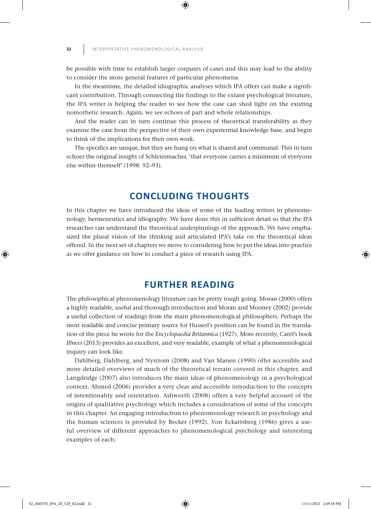be possible with time to establish larger corpuses of cases and this may lead to the ability to consider the more general features of particular phenomena.

In the meantime, the detailed idiographic analyses which IPA offers can make a significant contribution. Through connecting the findings to the extant psychological literature, the IPA writer is helping the reader to see how the case can shed light on the existing nomothetic research. Again, we see echoes of part and whole relationships.

And the reader can in turn continue this process of theoretical transferability as they examine the case from the perspective of their own experiential knowledge base, and begin to think of the implications for their own work.

The specifics are unique, but they are hung on what is shared and communal. This in turn echoes the original insight of Schleiermacher, 'that everyone carries a minimum of everyone else within themself' (1998: 92–93).

# **CONCLUDING THOUGHTS**

In this chapter we have introduced the ideas of some of the leading writers in phenomenology, hermeneutics and idiography. We have done this in sufficient detail so that the IPA researcher can understand the theoretical underpinnings of the approach. We have emphasized the plural vision of the thinking and articulated IPA's take on the theoretical ideas offered. In the next set of chapters we move to considering how to put the ideas into practice as we offer guidance on how to conduct a piece of research using IPA.

# **FURTHER READING**

The philosophical phenomenology literature can be pretty tough going. Moran (2000) offers a highly readable, useful and thorough introduction and Moran and Mooney (2002) provide a useful collection of readings from the main phenomenological philosophers. Perhaps the most readable and concise primary source for Husserl's position can be found in the translation of the piece he wrote for the *Encyclopaedia Britannica* (1927). More recently, Carel's book *Illness* (2013) provides an excellent, and very readable, example of what a phenomenological inquiry can look like.

Dahlberg, Dahlberg, and Nystrom (2008) and Van Manen (1990) offer accessible and more detailed overviews of much of the theoretical terrain covered in this chapter, and Langdridge (2007) also introduces the main ideas of phenomenology in a psychological context. Ahmed (2006) provides a very clear and accessible introduction to the concepts of intentionality and orientation. Ashworth (2008) offers a very helpful account of the origins of qualitative psychology which includes a consideration of some of the concepts in this chapter. An engaging introduction to phenomenology research in psychology and the human sciences is provided by Becker (1992). Von Eckartsberg (1986) gives a useful overview of different approaches to phenomenological psychology and interesting examples of each.